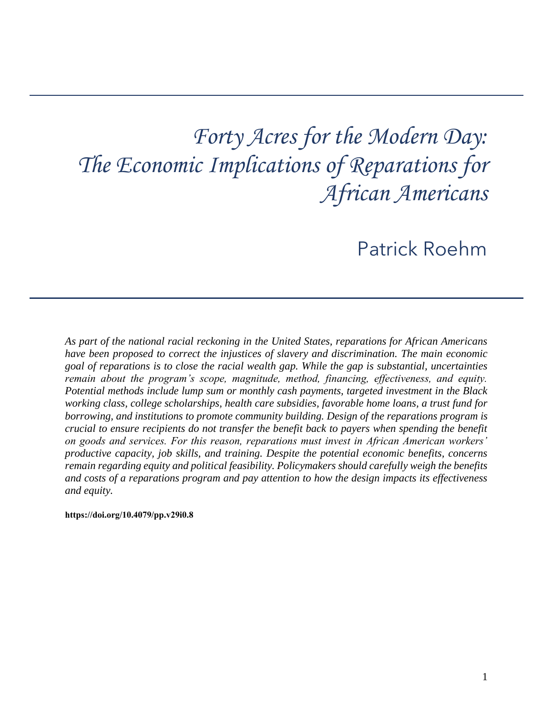# *Forty Acres for the Modern Day: The Economic Implications of Reparations for African Americans*

## Patrick Roehm

 *As part of the national racial reckoning in the United States, reparations for African Americans remain about the program's scope, magnitude, method, financing, effectiveness, and equity. Potential methods include lump sum or monthly cash payments, targeted investment in the Black working class, college scholarships, health care subsidies, favorable home loans, a trust fund for borrowing, and institutions to promote community building. Design of the reparations program is crucial to ensure recipients do not transfer the benefit back to payers when spending the benefit on goods and services. For this reason, reparations must invest in African American workers' productive capacity, job skills, and training. Despite the potential economic benefits, concerns have been proposed to correct the injustices of slavery and discrimination. The main economic goal of reparations is to close the racial wealth gap. While the gap is substantial, uncertainties remain regarding equity and political feasibility. Policymakers should carefully weigh the benefits and costs of a reparations program and pay attention to how the design impacts its effectiveness and equity.* 

#### **[https://doi.org/10.4079/pp.v29i0.8](https://doi.org/10.4079/pp.v28i0.9)**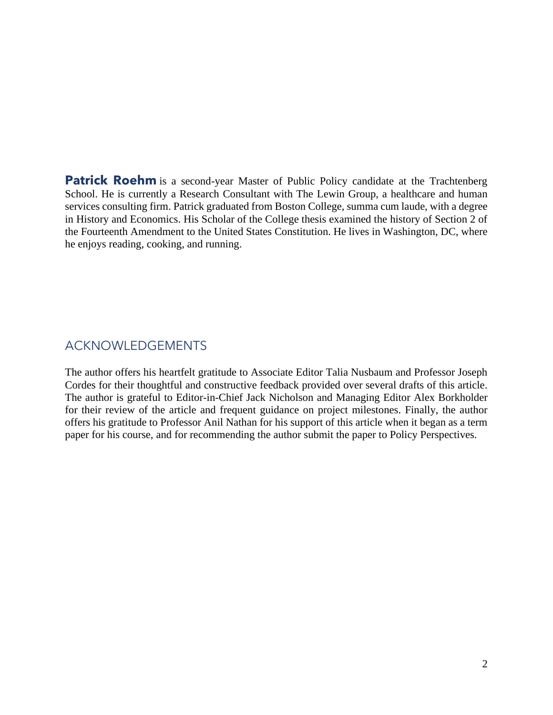Patrick Roehm is a second-year Master of Public Policy candidate at the Trachtenberg School. He is currently a Research Consultant with The Lewin Group, a healthcare and human services consulting firm. Patrick graduated from Boston College, summa cum laude, with a degree in History and Economics. His Scholar of the College thesis examined the history of Section 2 of the Fourteenth Amendment to the United States Constitution. He lives in Washington, DC, where he enjoys reading, cooking, and running.

### ACKNOWLEDGEMENTS

 Cordes for their thoughtful and constructive feedback provided over several drafts of this article. for their review of the article and frequent guidance on project milestones. Finally, the author offers his gratitude to Professor Anil Nathan for his support of this article when it began as a term The author offers his heartfelt gratitude to Associate Editor Talia Nusbaum and Professor Joseph The author is grateful to Editor-in-Chief Jack Nicholson and Managing Editor Alex Borkholder paper for his course, and for recommending the author submit the paper to Policy Perspectives.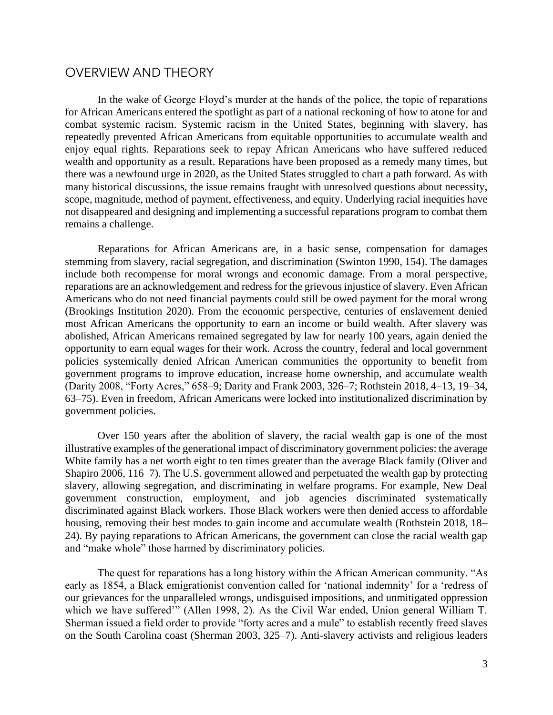#### OVERVIEW AND THEORY

 for African Americans entered the spotlight as part of a national reckoning of how to atone for and combat systemic racism. Systemic racism in the United States, beginning with slavery, has enjoy equal rights. Reparations seek to repay African Americans who have suffered reduced there was a newfound urge in 2020, as the United States struggled to chart a path forward. As with In the wake of George Floyd's murder at the hands of the police, the topic of reparations repeatedly prevented African Americans from equitable opportunities to accumulate wealth and wealth and opportunity as a result. Reparations have been proposed as a remedy many times, but many historical discussions, the issue remains fraught with unresolved questions about necessity, scope, magnitude, method of payment, effectiveness, and equity. Underlying racial inequities have not disappeared and designing and implementing a successful reparations program to combat them remains a challenge.

 Reparations for African Americans are, in a basic sense, compensation for damages stemming from slavery, racial segregation, and discrimination (Swinton 1990, 154). The damages include both recompense for moral wrongs and economic damage. From a moral perspective, Americans who do not need financial payments could still be owed payment for the moral wrong (Brookings Institution 2020). From the economic perspective, centuries of enslavement denied most African Americans the opportunity to earn an income or build wealth. After slavery was abolished, African Americans remained segregated by law for nearly 100 years, again denied the opportunity to earn equal wages for their work. Across the country, federal and local government government programs to improve education, increase home ownership, and accumulate wealth reparations are an acknowledgement and redress for the grievous injustice of slavery. Even African policies systemically denied African American communities the opportunity to benefit from (Darity 2008, "Forty Acres," 658–9; Darity and Frank 2003, 326–7; Rothstein 2018, 4–13, 19–34, 63–75). Even in freedom, African Americans were locked into institutionalized discrimination by government policies.

 Over 150 years after the abolition of slavery, the racial wealth gap is one of the most White family has a net worth eight to ten times greater than the average Black family (Oliver and Shapiro 2006, 116–7). The U.S. government allowed and perpetuated the wealth gap by protecting discriminated against Black workers. Those Black workers were then denied access to affordable illustrative examples of the generational impact of discriminatory government policies: the average slavery, allowing segregation, and discriminating in welfare programs. For example, New Deal government construction, employment, and job agencies discriminated systematically housing, removing their best modes to gain income and accumulate wealth (Rothstein 2018, 18– 24). By paying reparations to African Americans, the government can close the racial wealth gap and "make whole" those harmed by discriminatory policies.

 early as 1854, a Black emigrationist convention called for 'national indemnity' for a 'redress of which we have suffered'" (Allen 1998, 2). As the Civil War ended, Union general William T. on the South Carolina coast (Sherman 2003, 325–7). Anti-slavery activists and religious leaders The quest for reparations has a long history within the African American community. "As our grievances for the unparalleled wrongs, undisguised impositions, and unmitigated oppression Sherman issued a field order to provide "forty acres and a mule" to establish recently freed slaves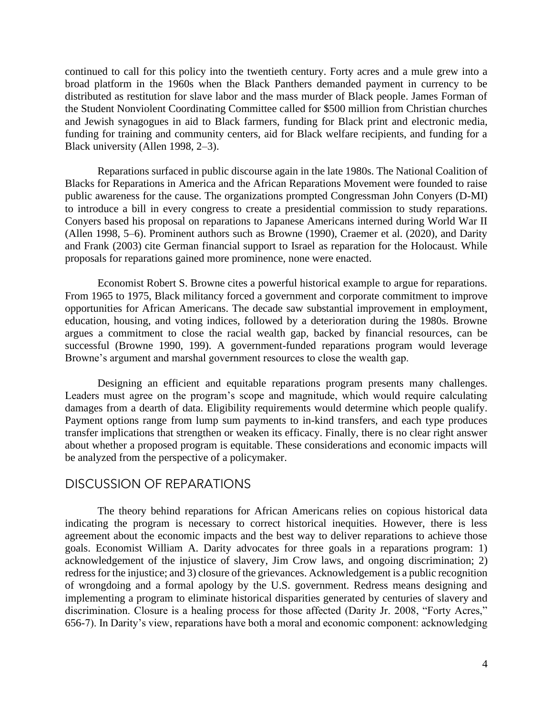continued to call for this policy into the twentieth century. Forty acres and a mule grew into a distributed as restitution for slave labor and the mass murder of Black people. James Forman of the Student Nonviolent Coordinating Committee called for \$500 million from Christian churches broad platform in the 1960s when the Black Panthers demanded payment in currency to be and Jewish synagogues in aid to Black farmers, funding for Black print and electronic media, funding for training and community centers, aid for Black welfare recipients, and funding for a Black university (Allen 1998, 2–3).

 Reparations surfaced in public discourse again in the late 1980s. The National Coalition of Blacks for Reparations in America and the African Reparations Movement were founded to raise to introduce a bill in every congress to create a presidential commission to study reparations. public awareness for the cause. The organizations prompted Congressman John Conyers (D-MI) Conyers based his proposal on reparations to Japanese Americans interned during World War II (Allen 1998, 5–6). Prominent authors such as Browne (1990), Craemer et al. (2020), and Darity and Frank (2003) cite German financial support to Israel as reparation for the Holocaust. While proposals for reparations gained more prominence, none were enacted.

 Economist Robert S. Browne cites a powerful historical example to argue for reparations. opportunities for African Americans. The decade saw substantial improvement in employment, education, housing, and voting indices, followed by a deterioration during the 1980s. Browne From 1965 to 1975, Black militancy forced a government and corporate commitment to improve argues a commitment to close the racial wealth gap, backed by financial resources, can be successful (Browne 1990, 199). A government-funded reparations program would leverage Browne's argument and marshal government resources to close the wealth gap.

 Leaders must agree on the program's scope and magnitude, which would require calculating Payment options range from lump sum payments to in-kind transfers, and each type produces about whether a proposed program is equitable. These considerations and economic impacts will Designing an efficient and equitable reparations program presents many challenges. damages from a dearth of data. Eligibility requirements would determine which people qualify. transfer implications that strengthen or weaken its efficacy. Finally, there is no clear right answer be analyzed from the perspective of a policymaker.

#### DISCUSSION OF REPARATIONS

 agreement about the economic impacts and the best way to deliver reparations to achieve those goals. Economist William A. Darity advocates for three goals in a reparations program: 1) acknowledgement of the injustice of slavery, Jim Crow laws, and ongoing discrimination; 2) redress for the injustice; and 3) closure of the grievances. Acknowledgement is a public recognition of wrongdoing and a formal apology by the U.S. government. Redress means designing and implementing a program to eliminate historical disparities generated by centuries of slavery and discrimination. Closure is a healing process for those affected (Darity Jr. 2008, "Forty Acres," 656-7). In Darity's view, reparations have both a moral and economic component: acknowledging The theory behind reparations for African Americans relies on copious historical data indicating the program is necessary to correct historical inequities. However, there is less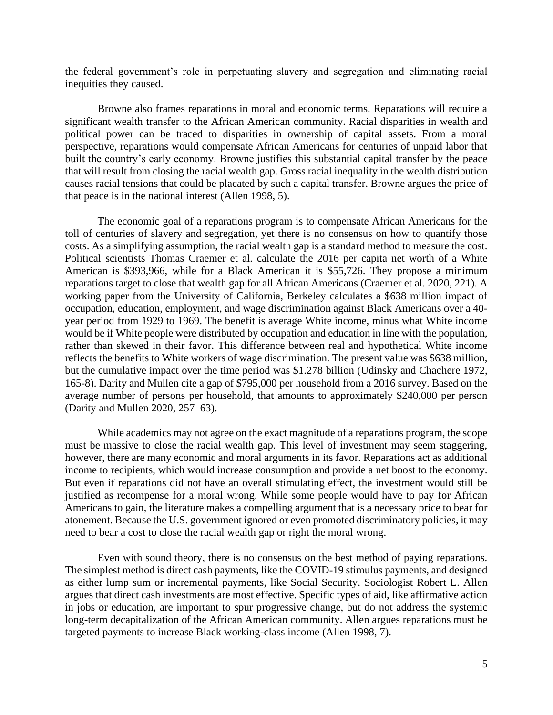the federal government's role in perpetuating slavery and segregation and eliminating racial inequities they caused.

 Browne also frames reparations in moral and economic terms. Reparations will require a political power can be traced to disparities in ownership of capital assets. From a moral that will result from closing the racial wealth gap. Gross racial inequality in the wealth distribution significant wealth transfer to the African American community. Racial disparities in wealth and perspective, reparations would compensate African Americans for centuries of unpaid labor that built the country's early economy. Browne justifies this substantial capital transfer by the peace causes racial tensions that could be placated by such a capital transfer. Browne argues the price of that peace is in the national interest (Allen 1998, 5).

 The economic goal of a reparations program is to compensate African Americans for the costs. As a simplifying assumption, the racial wealth gap is a standard method to measure the cost. Political scientists Thomas Craemer et al. calculate the 2016 per capita net worth of a White American is \$393,966, while for a Black American it is \$55,726. They propose a minimum reparations target to close that wealth gap for all African Americans (Craemer et al. 2020, 221). A working paper from the University of California, Berkeley calculates a \$638 million impact of year period from 1929 to 1969. The benefit is average White income, minus what White income would be if White people were distributed by occupation and education in line with the population, rather than skewed in their favor. This difference between real and hypothetical White income 165-8). Darity and Mullen cite a gap of \$795,000 per household from a 2016 survey. Based on the average number of persons per household, that amounts to approximately \$240,000 per person toll of centuries of slavery and segregation, yet there is no consensus on how to quantify those occupation, education, employment, and wage discrimination against Black Americans over a 40 reflects the benefits to White workers of wage discrimination. The present value was \$638 million, but the cumulative impact over the time period was \$1.278 billion (Udinsky and Chachere 1972, (Darity and Mullen 2020, 257–63).

 While academics may not agree on the exact magnitude of a reparations program, the scope must be massive to close the racial wealth gap. This level of investment may seem staggering, however, there are many economic and moral arguments in its favor. Reparations act as additional But even if reparations did not have an overall stimulating effect, the investment would still be justified as recompense for a moral wrong. While some people would have to pay for African Americans to gain, the literature makes a compelling argument that is a necessary price to bear for income to recipients, which would increase consumption and provide a net boost to the economy. atonement. Because the U.S. government ignored or even promoted discriminatory policies, it may need to bear a cost to close the racial wealth gap or right the moral wrong.

 The simplest method is direct cash payments, like the COVID-19 stimulus payments, and designed argues that direct cash investments are most effective. Specific types of aid, like affirmative action in jobs or education, are important to spur progressive change, but do not address the systemic Even with sound theory, there is no consensus on the best method of paying reparations. as either lump sum or incremental payments, like Social Security. Sociologist Robert L. Allen long-term decapitalization of the African American community. Allen argues reparations must be targeted payments to increase Black working-class income (Allen 1998, 7).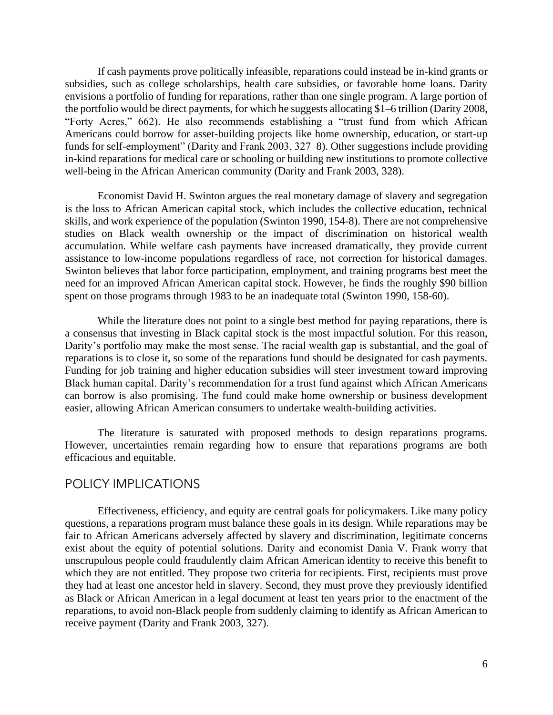envisions a portfolio of funding for reparations, rather than one single program. A large portion of the portfolio would be direct payments, for which he suggests allocating \$1–6 trillion (Darity 2008, "Forty Acres," 662). He also recommends establishing a "trust fund from which African Americans could borrow for asset-building projects like home ownership, education, or start-up funds for self-employment" (Darity and Frank 2003, 327–8). Other suggestions include providing in-kind reparations for medical care or schooling or building new institutions to promote collective If cash payments prove politically infeasible, reparations could instead be in-kind grants or subsidies, such as college scholarships, health care subsidies, or favorable home loans. Darity well-being in the African American community (Darity and Frank 2003, 328).

 skills, and work experience of the population (Swinton 1990, 154-8). There are not comprehensive accumulation. While welfare cash payments have increased dramatically, they provide current assistance to low-income populations regardless of race, not correction for historical damages. Swinton believes that labor force participation, employment, and training programs best meet the need for an improved African American capital stock. However, he finds the roughly \$90 billion Economist David H. Swinton argues the real monetary damage of slavery and segregation is the loss to African American capital stock, which includes the collective education, technical studies on Black wealth ownership or the impact of discrimination on historical wealth spent on those programs through 1983 to be an inadequate total (Swinton 1990, 158-60).

 While the literature does not point to a single best method for paying reparations, there is Darity's portfolio may make the most sense. The racial wealth gap is substantial, and the goal of can borrow is also promising. The fund could make home ownership or business development a consensus that investing in Black capital stock is the most impactful solution. For this reason, reparations is to close it, so some of the reparations fund should be designated for cash payments. Funding for job training and higher education subsidies will steer investment toward improving Black human capital. Darity's recommendation for a trust fund against which African Americans easier, allowing African American consumers to undertake wealth-building activities.

 The literature is saturated with proposed methods to design reparations programs. However, uncertainties remain regarding how to ensure that reparations programs are both efficacious and equitable.

#### POLICY IMPLICATIONS

 questions, a reparations program must balance these goals in its design. While reparations may be fair to African Americans adversely affected by slavery and discrimination, legitimate concerns which they are not entitled. They propose two criteria for recipients. First, recipients must prove they had at least one ancestor held in slavery. Second, they must prove they previously identified as Black or African American in a legal document at least ten years prior to the enactment of the Effectiveness, efficiency, and equity are central goals for policymakers. Like many policy exist about the equity of potential solutions. Darity and economist Dania V. Frank worry that unscrupulous people could fraudulently claim African American identity to receive this benefit to reparations, to avoid non-Black people from suddenly claiming to identify as African American to receive payment (Darity and Frank 2003, 327).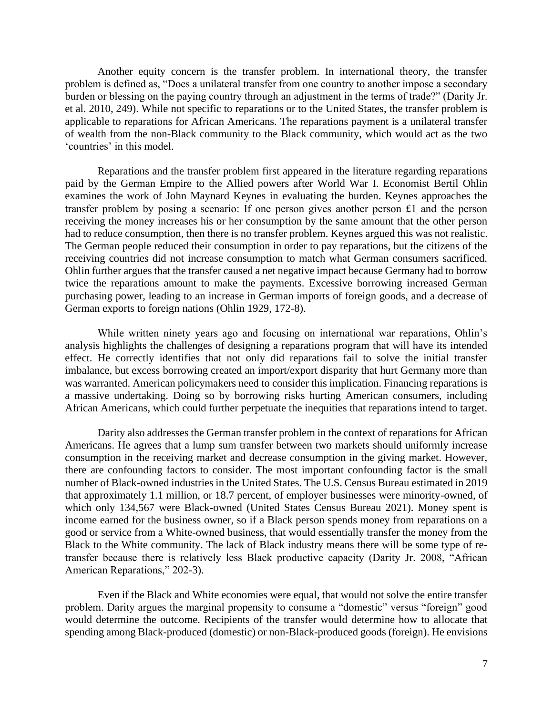problem is defined as, "Does a unilateral transfer from one country to another impose a secondary et al. 2010, 249). While not specific to reparations or to the United States, the transfer problem is applicable to reparations for African Americans. The reparations payment is a unilateral transfer of wealth from the non-Black community to the Black community, which would act as the two Another equity concern is the transfer problem. In international theory, the transfer burden or blessing on the paying country through an adjustment in the terms of trade?" (Darity Jr. 'countries' in this model.

 Ohlin further argues that the transfer caused a net negative impact because Germany had to borrow twice the reparations amount to make the payments. Excessive borrowing increased German purchasing power, leading to an increase in German imports of foreign goods, and a decrease of Reparations and the transfer problem first appeared in the literature regarding reparations paid by the German Empire to the Allied powers after World War I. Economist Bertil Ohlin examines the work of John Maynard Keynes in evaluating the burden. Keynes approaches the transfer problem by posing a scenario: If one person gives another person ₤1 and the person receiving the money increases his or her consumption by the same amount that the other person had to reduce consumption, then there is no transfer problem. Keynes argued this was not realistic. The German people reduced their consumption in order to pay reparations, but the citizens of the receiving countries did not increase consumption to match what German consumers sacrificed. German exports to foreign nations (Ohlin 1929, 172-8).

 While written ninety years ago and focusing on international war reparations, Ohlin's analysis highlights the challenges of designing a reparations program that will have its intended effect. He correctly identifies that not only did reparations fail to solve the initial transfer imbalance, but excess borrowing created an import/export disparity that hurt Germany more than was warranted. American policymakers need to consider this implication. Financing reparations is a massive undertaking. Doing so by borrowing risks hurting American consumers, including African Americans, which could further perpetuate the inequities that reparations intend to target.

 Darity also addresses the German transfer problem in the context of reparations for African there are confounding factors to consider. The most important confounding factor is the small which only 134,567 were Black-owned (United States Census Bureau 2021). Money spent is Black to the White community. The lack of Black industry means there will be some type of re- transfer because there is relatively less Black productive capacity (Darity Jr. 2008, "African Americans. He agrees that a lump sum transfer between two markets should uniformly increase consumption in the receiving market and decrease consumption in the giving market. However, number of Black-owned industries in the United States. The U.S. Census Bureau estimated in 2019 that approximately 1.1 million, or 18.7 percent, of employer businesses were minority-owned, of income earned for the business owner, so if a Black person spends money from reparations on a good or service from a White-owned business, that would essentially transfer the money from the American Reparations," 202-3).

 Even if the Black and White economies were equal, that would not solve the entire transfer problem. Darity argues the marginal propensity to consume a "domestic" versus "foreign" good spending among Black-produced (domestic) or non-Black-produced goods (foreign). He envisions would determine the outcome. Recipients of the transfer would determine how to allocate that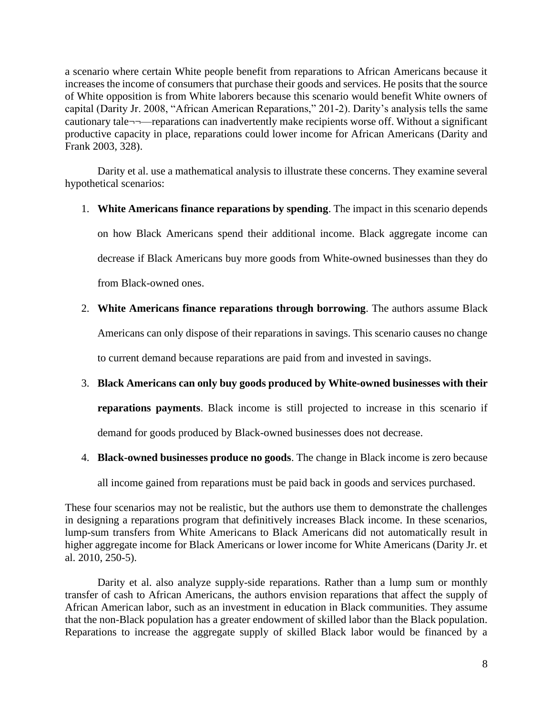a scenario where certain White people benefit from reparations to African Americans because it increases the income of consumers that purchase their goods and services. He posits that the source of White opposition is from White laborers because this scenario would benefit White owners of productive capacity in place, reparations could lower income for African Americans (Darity and capital (Darity Jr. 2008, "African American Reparations," 201-2). Darity's analysis tells the same cautionary tale¬¬––reparations can inadvertently make recipients worse off. Without a significant Frank 2003, 328).

 Darity et al. use a mathematical analysis to illustrate these concerns. They examine several hypothetical scenarios:

1. **White Americans finance reparations by spending**. The impact in this scenario depends

on how Black Americans spend their additional income. Black aggregate income can

decrease if Black Americans buy more goods from White-owned businesses than they do

from Black-owned ones.

#### 2. **White Americans finance reparations through borrowing**. The authors assume Black

Americans can only dispose of their reparations in savings. This scenario causes no change

to current demand because reparations are paid from and invested in savings.

#### 3. **Black Americans can only buy goods produced by White-owned businesses with their**

**reparations payments**. Black income is still projected to increase in this scenario if

demand for goods produced by Black-owned businesses does not decrease.

 4. **Black-owned businesses produce no goods**. The change in Black income is zero because

all income gained from reparations must be paid back in goods and services purchased.

 These four scenarios may not be realistic, but the authors use them to demonstrate the challenges in designing a reparations program that definitively increases Black income. In these scenarios, lump-sum transfers from White Americans to Black Americans did not automatically result in higher aggregate income for Black Americans or lower income for White Americans (Darity Jr. et al. 2010, 250-5).

 Darity et al. also analyze supply-side reparations. Rather than a lump sum or monthly that the non-Black population has a greater endowment of skilled labor than the Black population. Reparations to increase the aggregate supply of skilled Black labor would be financed by a transfer of cash to African Americans, the authors envision reparations that affect the supply of African American labor, such as an investment in education in Black communities. They assume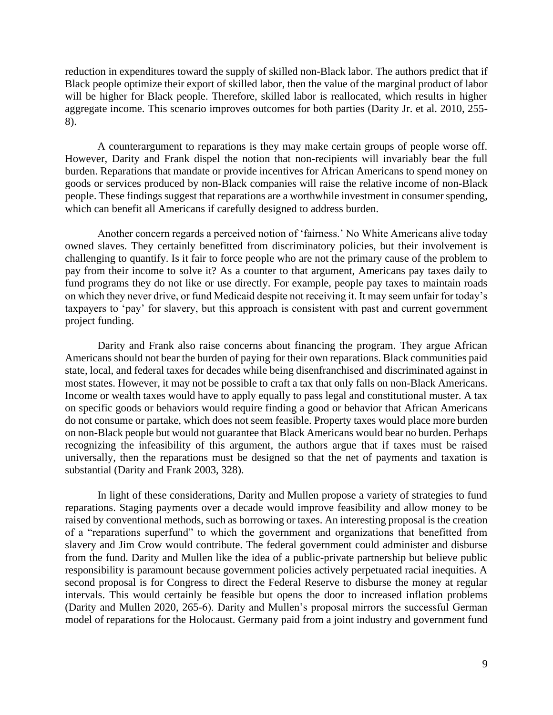Black people optimize their export of skilled labor, then the value of the marginal product of labor will be higher for Black people. Therefore, skilled labor is reallocated, which results in higher reduction in expenditures toward the supply of skilled non-Black labor. The authors predict that if aggregate income. This scenario improves outcomes for both parties (Darity Jr. et al. 2010, 255- 8).

 people. These findings suggest that reparations are a worthwhile investment in consumer spending, A counterargument to reparations is they may make certain groups of people worse off. However, Darity and Frank dispel the notion that non-recipients will invariably bear the full burden. Reparations that mandate or provide incentives for African Americans to spend money on goods or services produced by non-Black companies will raise the relative income of non-Black which can benefit all Americans if carefully designed to address burden.

 challenging to quantify. Is it fair to force people who are not the primary cause of the problem to pay from their income to solve it? As a counter to that argument, Americans pay taxes daily to on which they never drive, or fund Medicaid despite not receiving it. It may seem unfair for today's Another concern regards a perceived notion of 'fairness.' No White Americans alive today owned slaves. They certainly benefitted from discriminatory policies, but their involvement is fund programs they do not like or use directly. For example, people pay taxes to maintain roads taxpayers to 'pay' for slavery, but this approach is consistent with past and current government project funding.

 Darity and Frank also raise concerns about financing the program. They argue African most states. However, it may not be possible to craft a tax that only falls on non-Black Americans. on specific goods or behaviors would require finding a good or behavior that African Americans do not consume or partake, which does not seem feasible. Property taxes would place more burden recognizing the infeasibility of this argument, the authors argue that if taxes must be raised universally, then the reparations must be designed so that the net of payments and taxation is Americans should not bear the burden of paying for their own reparations. Black communities paid state, local, and federal taxes for decades while being disenfranchised and discriminated against in Income or wealth taxes would have to apply equally to pass legal and constitutional muster. A tax on non-Black people but would not guarantee that Black Americans would bear no burden. Perhaps substantial (Darity and Frank 2003, 328).

 In light of these considerations, Darity and Mullen propose a variety of strategies to fund reparations. Staging payments over a decade would improve feasibility and allow money to be slavery and Jim Crow would contribute. The federal government could administer and disburse from the fund. Darity and Mullen like the idea of a public-private partnership but believe public responsibility is paramount because government policies actively perpetuated racial inequities. A second proposal is for Congress to direct the Federal Reserve to disburse the money at regular intervals. This would certainly be feasible but opens the door to increased inflation problems raised by conventional methods, such as borrowing or taxes. An interesting proposal is the creation of a "reparations superfund" to which the government and organizations that benefitted from (Darity and Mullen 2020, 265-6). Darity and Mullen's proposal mirrors the successful German model of reparations for the Holocaust. Germany paid from a joint industry and government fund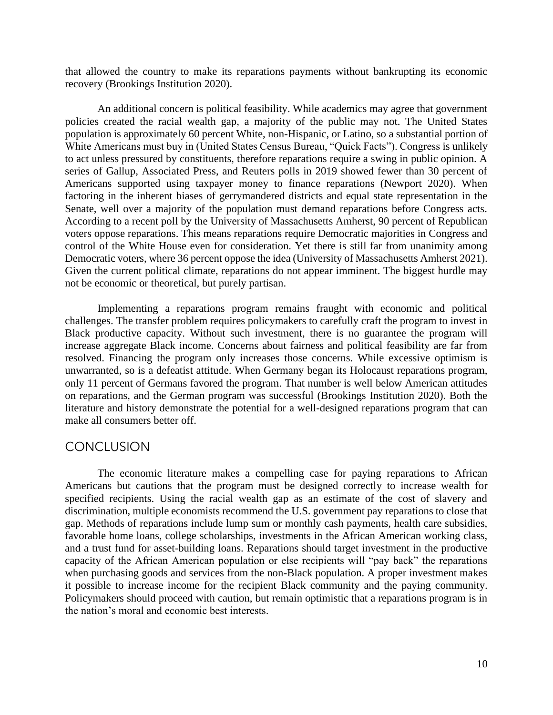that allowed the country to make its reparations payments without bankrupting its economic recovery (Brookings Institution 2020).

 to act unless pressured by constituents, therefore reparations require a swing in public opinion. A series of Gallup, Associated Press, and Reuters polls in 2019 showed fewer than 30 percent of Senate, well over a majority of the population must demand reparations before Congress acts. voters oppose reparations. This means reparations require Democratic majorities in Congress and control of the White House even for consideration. Yet there is still far from unanimity among Democratic voters, where 36 percent oppose the idea (University of Massachusetts Amherst 2021). Given the current political climate, reparations do not appear imminent. The biggest hurdle may An additional concern is political feasibility. While academics may agree that government policies created the racial wealth gap, a majority of the public may not. The United States population is approximately 60 percent White, non-Hispanic, or Latino, so a substantial portion of White Americans must buy in (United States Census Bureau, "Quick Facts"). Congress is unlikely Americans supported using taxpayer money to finance reparations (Newport 2020). When factoring in the inherent biases of gerrymandered districts and equal state representation in the According to a recent poll by the University of Massachusetts Amherst, 90 percent of Republican not be economic or theoretical, but purely partisan.

 increase aggregate Black income. Concerns about fairness and political feasibility are far from resolved. Financing the program only increases those concerns. While excessive optimism is only 11 percent of Germans favored the program. That number is well below American attitudes Implementing a reparations program remains fraught with economic and political challenges. The transfer problem requires policymakers to carefully craft the program to invest in Black productive capacity. Without such investment, there is no guarantee the program will unwarranted, so is a defeatist attitude. When Germany began its Holocaust reparations program, on reparations, and the German program was successful (Brookings Institution 2020). Both the literature and history demonstrate the potential for a well-designed reparations program that can make all consumers better off.

#### **CONCLUSION**

 The economic literature makes a compelling case for paying reparations to African Americans but cautions that the program must be designed correctly to increase wealth for specified recipients. Using the racial wealth gap as an estimate of the cost of slavery and gap. Methods of reparations include lump sum or monthly cash payments, health care subsidies, capacity of the African American population or else recipients will "pay back" the reparations it possible to increase income for the recipient Black community and the paying community. discrimination, multiple economists recommend the U.S. government pay reparations to close that favorable home loans, college scholarships, investments in the African American working class, and a trust fund for asset-building loans. Reparations should target investment in the productive when purchasing goods and services from the non-Black population. A proper investment makes Policymakers should proceed with caution, but remain optimistic that a reparations program is in the nation's moral and economic best interests.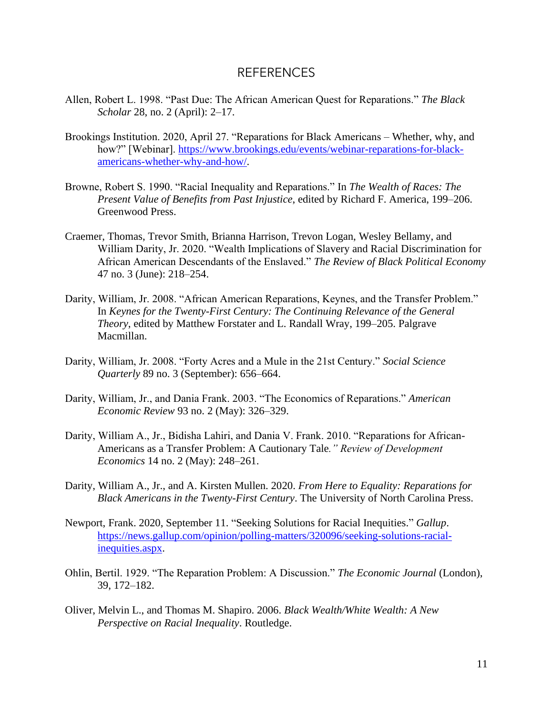#### REFERENCES

- Allen, Robert L. 1998. "Past Due: The African American Quest for Reparations." *The Black Scholar* 28, no. 2 (April): 2–17.
- Brookings Institution. 2020, April 27. "Reparations for Black Americans Whether, why, and how?" [Webinar]. [https://www.brookings.edu/events/webinar-reparations-for-black](https://www.brookings.edu/events/webinar-reparations-for-black-americans-whether-why-and-how/)[americans-whether-why-and-how/.](https://www.brookings.edu/events/webinar-reparations-for-black-americans-whether-why-and-how/)
- Browne, Robert S. 1990. "Racial Inequality and Reparations." In *The Wealth of Races: The Present Value of Benefits from Past Injustice*, edited by Richard F. America, 199–206. Greenwood Press.
- Craemer, Thomas, Trevor Smith, Brianna Harrison, Trevon Logan, Wesley Bellamy, and William Darity, Jr. 2020. "Wealth Implications of Slavery and Racial Discrimination for African American Descendants of the Enslaved." *The Review of Black Political Economy*  47 no. 3 (June): 218–254.
- Darity, William, Jr. 2008. "African American Reparations, Keynes, and the Transfer Problem." In *Keynes for the Twenty-First Century: The Continuing Relevance of the General Theory*, edited by Matthew Forstater and L. Randall Wray, 199–205. Palgrave Macmillan.
- Darity, William, Jr. 2008. "Forty Acres and a Mule in the 21st Century." *Social Science Quarterly* 89 no. 3 (September): 656–664.
- Darity, William, Jr., and Dania Frank. 2003. "The Economics of Reparations." *American Economic Review* 93 no. 2 (May): 326–329.
- Darity, William A., Jr., Bidisha Lahiri, and Dania V. Frank. 2010. "Reparations for African-Americans as a Transfer Problem: A Cautionary Tale*." Review of Development Economics* 14 no. 2 (May): 248–261.
- Darity, William A., Jr., and A. Kirsten Mullen. 2020. *From Here to Equality: Reparations for Black Americans in the Twenty-First Century*. The University of North Carolina Press.
- Newport, Frank. 2020, September 11. "Seeking Solutions for Racial Inequities." *Gallup*. [https://news.gallup.com/opinion/polling-matters/320096/seeking-solutions-racial](https://news.gallup.com/opinion/polling-matters/320096/seeking-solutions-racial-inequities.aspx)[inequities.aspx.](https://news.gallup.com/opinion/polling-matters/320096/seeking-solutions-racial-inequities.aspx)
- Ohlin, Bertil. 1929. "The Reparation Problem: A Discussion." *The Economic Journal* (London), 39, 172–182.
- Oliver, Melvin L., and Thomas M. Shapiro. 2006. *Black Wealth/White Wealth: A New Perspective on Racial Inequality*. Routledge.